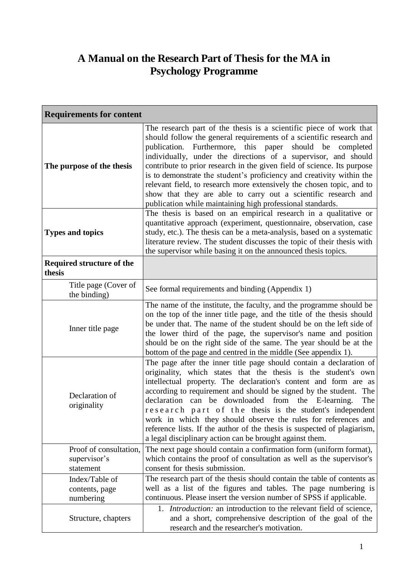## **A Manual on the Research Part of Thesis for the MA in Psychology Programme**

| <b>Requirements for content</b>                     |                                                                                                                                                                                                                                                                                                                                                                                                                                                                                                                                                                                                                                            |  |
|-----------------------------------------------------|--------------------------------------------------------------------------------------------------------------------------------------------------------------------------------------------------------------------------------------------------------------------------------------------------------------------------------------------------------------------------------------------------------------------------------------------------------------------------------------------------------------------------------------------------------------------------------------------------------------------------------------------|--|
| The purpose of the thesis                           | The research part of the thesis is a scientific piece of work that<br>should follow the general requirements of a scientific research and<br>Furthermore, this paper<br>should be completed<br>publication.<br>individually, under the directions of a supervisor, and should<br>contribute to prior research in the given field of science. Its purpose<br>is to demonstrate the student's proficiency and creativity within the<br>relevant field, to research more extensively the chosen topic, and to<br>show that they are able to carry out a scientific research and<br>publication while maintaining high professional standards. |  |
| <b>Types and topics</b>                             | The thesis is based on an empirical research in a qualitative or<br>quantitative approach (experiment, questionnaire, observation, case<br>study, etc.). The thesis can be a meta-analysis, based on a systematic<br>literature review. The student discusses the topic of their thesis with<br>the supervisor while basing it on the announced thesis topics.                                                                                                                                                                                                                                                                             |  |
| <b>Required structure of the</b><br>thesis          |                                                                                                                                                                                                                                                                                                                                                                                                                                                                                                                                                                                                                                            |  |
| Title page (Cover of<br>the binding)                | See formal requirements and binding (Appendix 1)                                                                                                                                                                                                                                                                                                                                                                                                                                                                                                                                                                                           |  |
| Inner title page                                    | The name of the institute, the faculty, and the programme should be<br>on the top of the inner title page, and the title of the thesis should<br>be under that. The name of the student should be on the left side of<br>the lower third of the page, the supervisor's name and position<br>should be on the right side of the same. The year should be at the<br>bottom of the page and centred in the middle (See appendix 1).                                                                                                                                                                                                           |  |
| Declaration of<br>originality                       | The page after the inner title page should contain a declaration of<br>originality, which states that the thesis is the student's own<br>intellectual property. The declaration's content and form are as<br>according to requirement and should be signed by the student.<br>The<br>declaration can be downloaded from the E-learning.<br>The<br>research part of the thesis is the student's independent<br>work in which they should observe the rules for references and<br>reference lists. If the author of the thesis is suspected of plagiarism,<br>a legal disciplinary action can be brought against them.                       |  |
| Proof of consultation,<br>supervisor's<br>statement | The next page should contain a confirmation form (uniform format),<br>which contains the proof of consultation as well as the supervisor's<br>consent for thesis submission.                                                                                                                                                                                                                                                                                                                                                                                                                                                               |  |
| Index/Table of<br>contents, page<br>numbering       | The research part of the thesis should contain the table of contents as<br>well as a list of the figures and tables. The page numbering is<br>continuous. Please insert the version number of SPSS if applicable.                                                                                                                                                                                                                                                                                                                                                                                                                          |  |
| Structure, chapters                                 | 1. <i>Introduction:</i> an introduction to the relevant field of science,<br>and a short, comprehensive description of the goal of the<br>research and the researcher's motivation.                                                                                                                                                                                                                                                                                                                                                                                                                                                        |  |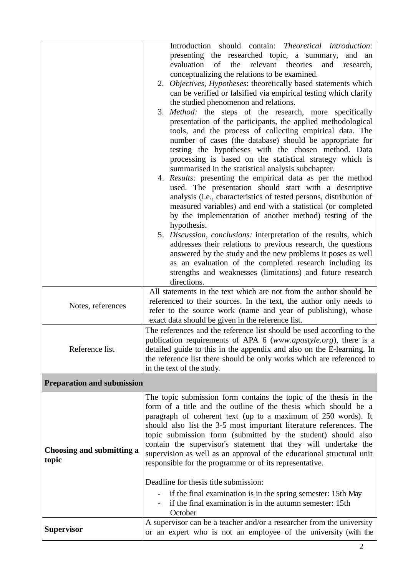|                                    | Introduction should contain: Theoretical introduction:<br>presenting the researched topic, a summary,<br>and an<br>evaluation<br>of<br>the<br>relevant<br>theories<br>and<br>research,<br>conceptualizing the relations to be examined.<br>2. Objectives, Hypotheses: theoretically based statements which<br>can be verified or falsified via empirical testing which clarify<br>the studied phenomenon and relations.<br>3. Method: the steps of the research, more specifically<br>presentation of the participants, the applied methodological<br>tools, and the process of collecting empirical data. The<br>number of cases (the database) should be appropriate for<br>testing the hypotheses with the chosen method. Data<br>processing is based on the statistical strategy which is<br>summarised in the statistical analysis subchapter.<br>4. Results: presenting the empirical data as per the method<br>used. The presentation should start with a descriptive<br>analysis (i.e., characteristics of tested persons, distribution of<br>measured variables) and end with a statistical (or completed<br>by the implementation of another method) testing of the<br>hypothesis.<br>5. Discussion, conclusions: interpretation of the results, which<br>addresses their relations to previous research, the questions<br>answered by the study and the new problems it poses as well<br>as an evaluation of the completed research including its<br>strengths and weaknesses (limitations) and future research<br>directions. |
|------------------------------------|-------------------------------------------------------------------------------------------------------------------------------------------------------------------------------------------------------------------------------------------------------------------------------------------------------------------------------------------------------------------------------------------------------------------------------------------------------------------------------------------------------------------------------------------------------------------------------------------------------------------------------------------------------------------------------------------------------------------------------------------------------------------------------------------------------------------------------------------------------------------------------------------------------------------------------------------------------------------------------------------------------------------------------------------------------------------------------------------------------------------------------------------------------------------------------------------------------------------------------------------------------------------------------------------------------------------------------------------------------------------------------------------------------------------------------------------------------------------------------------------------------------------------------------------|
| Notes, references                  | All statements in the text which are not from the author should be<br>referenced to their sources. In the text, the author only needs to<br>refer to the source work (name and year of publishing), whose<br>exact data should be given in the reference list.                                                                                                                                                                                                                                                                                                                                                                                                                                                                                                                                                                                                                                                                                                                                                                                                                                                                                                                                                                                                                                                                                                                                                                                                                                                                            |
| Reference list                     | The references and the reference list should be used according to the<br>publication requirements of APA 6 (www.apastyle.org), there is a<br>detailed guide to this in the appendix and also on the E-learning. In<br>the reference list there should be only works which are referenced to<br>in the text of the study.                                                                                                                                                                                                                                                                                                                                                                                                                                                                                                                                                                                                                                                                                                                                                                                                                                                                                                                                                                                                                                                                                                                                                                                                                  |
| <b>Preparation and submission</b>  |                                                                                                                                                                                                                                                                                                                                                                                                                                                                                                                                                                                                                                                                                                                                                                                                                                                                                                                                                                                                                                                                                                                                                                                                                                                                                                                                                                                                                                                                                                                                           |
| Choosing and submitting a<br>topic | The topic submission form contains the topic of the thesis in the<br>form of a title and the outline of the thesis which should be a<br>paragraph of coherent text (up to a maximum of 250 words). It<br>should also list the 3-5 most important literature references. The<br>topic submission form (submitted by the student) should also<br>contain the supervisor's statement that they will undertake the<br>supervision as well as an approval of the educational structural unit<br>responsible for the programme or of its representative.<br>Deadline for thesis title submission:<br>if the final examination is in the spring semester: 15th May<br>if the final examination is in the autumn semester: 15th<br>October                                                                                                                                                                                                                                                                                                                                                                                                                                                                                                                                                                                                                                                                                                                                                                                                        |
| <b>Supervisor</b>                  | A supervisor can be a teacher and/or a researcher from the university<br>or an expert who is not an employee of the university (with the                                                                                                                                                                                                                                                                                                                                                                                                                                                                                                                                                                                                                                                                                                                                                                                                                                                                                                                                                                                                                                                                                                                                                                                                                                                                                                                                                                                                  |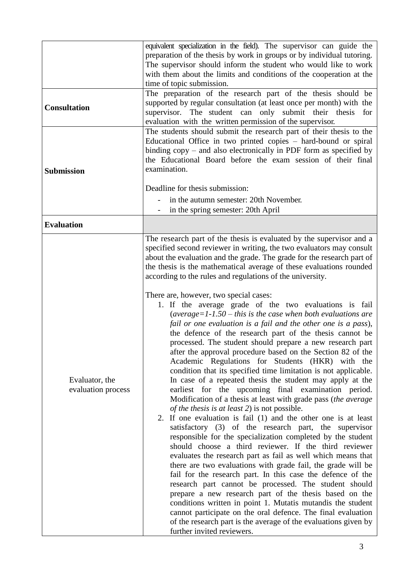|                                      | equivalent specialization in the field). The supervisor can guide the<br>preparation of the thesis by work in groups or by individual tutoring.<br>The supervisor should inform the student who would like to work<br>with them about the limits and conditions of the cooperation at the<br>time of topic submission.                                                                                                                                                                                                                                                                                                                                                                                                                                                                                                                                                                                                                                                                                                                                                                                                                                                                                                                                                                                                                                                                                                                                                                                                                                                                                                                                                                                                                                                                                                                                                                                                                                         |
|--------------------------------------|----------------------------------------------------------------------------------------------------------------------------------------------------------------------------------------------------------------------------------------------------------------------------------------------------------------------------------------------------------------------------------------------------------------------------------------------------------------------------------------------------------------------------------------------------------------------------------------------------------------------------------------------------------------------------------------------------------------------------------------------------------------------------------------------------------------------------------------------------------------------------------------------------------------------------------------------------------------------------------------------------------------------------------------------------------------------------------------------------------------------------------------------------------------------------------------------------------------------------------------------------------------------------------------------------------------------------------------------------------------------------------------------------------------------------------------------------------------------------------------------------------------------------------------------------------------------------------------------------------------------------------------------------------------------------------------------------------------------------------------------------------------------------------------------------------------------------------------------------------------------------------------------------------------------------------------------------------------|
| <b>Consultation</b>                  | The preparation of the research part of the thesis should be<br>supported by regular consultation (at least once per month) with the<br>supervisor. The student can only submit their thesis for<br>evaluation with the written permission of the supervisor.                                                                                                                                                                                                                                                                                                                                                                                                                                                                                                                                                                                                                                                                                                                                                                                                                                                                                                                                                                                                                                                                                                                                                                                                                                                                                                                                                                                                                                                                                                                                                                                                                                                                                                  |
| <b>Submission</b>                    | The students should submit the research part of their thesis to the<br>Educational Office in two printed copies – hard-bound or spiral<br>binding $copy$ – and also electronically in PDF form as specified by<br>the Educational Board before the exam session of their final<br>examination.<br>Deadline for thesis submission:<br>in the autumn semester: 20th November.<br>in the spring semester: 20th April                                                                                                                                                                                                                                                                                                                                                                                                                                                                                                                                                                                                                                                                                                                                                                                                                                                                                                                                                                                                                                                                                                                                                                                                                                                                                                                                                                                                                                                                                                                                              |
| <b>Evaluation</b>                    |                                                                                                                                                                                                                                                                                                                                                                                                                                                                                                                                                                                                                                                                                                                                                                                                                                                                                                                                                                                                                                                                                                                                                                                                                                                                                                                                                                                                                                                                                                                                                                                                                                                                                                                                                                                                                                                                                                                                                                |
| Evaluator, the<br>evaluation process | The research part of the thesis is evaluated by the supervisor and a<br>specified second reviewer in writing, the two evaluators may consult<br>about the evaluation and the grade. The grade for the research part of<br>the thesis is the mathematical average of these evaluations rounded<br>according to the rules and regulations of the university.<br>There are, however, two special cases:<br>1. If the average grade of the two evaluations is fail<br>(average= $1-1.50$ – this is the case when both evaluations are<br>fail or one evaluation is a fail and the other one is a pass),<br>the defence of the research part of the thesis cannot be<br>processed. The student should prepare a new research part<br>after the approval procedure based on the Section 82 of the<br>Academic Regulations for Students (HKR) with the<br>condition that its specified time limitation is not applicable.<br>In case of a repeated thesis the student may apply at the<br>earliest for the upcoming final examination period.<br>Modification of a thesis at least with grade pass (the average<br>of the thesis is at least 2) is not possible.<br>2. If one evaluation is fail (1) and the other one is at least<br>satisfactory (3) of the research part, the supervisor<br>responsible for the specialization completed by the student<br>should choose a third reviewer. If the third reviewer<br>evaluates the research part as fail as well which means that<br>there are two evaluations with grade fail, the grade will be<br>fail for the research part. In this case the defence of the<br>research part cannot be processed. The student should<br>prepare a new research part of the thesis based on the<br>conditions written in point 1. Mutatis mutandis the student<br>cannot participate on the oral defence. The final evaluation<br>of the research part is the average of the evaluations given by<br>further invited reviewers. |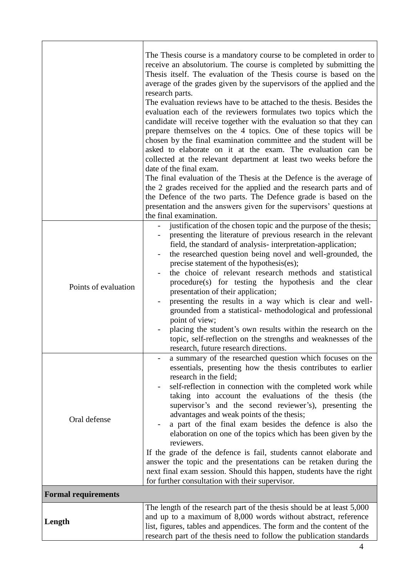|                            | The Thesis course is a mandatory course to be completed in order to<br>receive an absolutorium. The course is completed by submitting the<br>Thesis itself. The evaluation of the Thesis course is based on the<br>average of the grades given by the supervisors of the applied and the<br>research parts.<br>The evaluation reviews have to be attached to the thesis. Besides the<br>evaluation each of the reviewers formulates two topics which the<br>candidate will receive together with the evaluation so that they can<br>prepare themselves on the 4 topics. One of these topics will be<br>chosen by the final examination committee and the student will be<br>asked to elaborate on it at the exam. The evaluation can be<br>collected at the relevant department at least two weeks before the<br>date of the final exam.<br>The final evaluation of the Thesis at the Defence is the average of<br>the 2 grades received for the applied and the research parts and of<br>the Defence of the two parts. The Defence grade is based on the<br>presentation and the answers given for the supervisors' questions at<br>the final examination. |
|----------------------------|-------------------------------------------------------------------------------------------------------------------------------------------------------------------------------------------------------------------------------------------------------------------------------------------------------------------------------------------------------------------------------------------------------------------------------------------------------------------------------------------------------------------------------------------------------------------------------------------------------------------------------------------------------------------------------------------------------------------------------------------------------------------------------------------------------------------------------------------------------------------------------------------------------------------------------------------------------------------------------------------------------------------------------------------------------------------------------------------------------------------------------------------------------------|
| Points of evaluation       | justification of the chosen topic and the purpose of the thesis;<br>presenting the literature of previous research in the relevant<br>field, the standard of analysis-interpretation-application;<br>the researched question being novel and well-grounded, the<br>precise statement of the hypothesis(es);<br>the choice of relevant research methods and statistical<br>procedure(s) for testing the hypothesis and the clear<br>presentation of their application;<br>presenting the results in a way which is clear and well-<br>grounded from a statistical- methodological and professional<br>point of view;<br>placing the student's own results within the research on the<br>topic, self-reflection on the strengths and weaknesses of the<br>research, future research directions.                                                                                                                                                                                                                                                                                                                                                               |
| Oral defense               | a summary of the researched question which focuses on the<br>essentials, presenting how the thesis contributes to earlier<br>research in the field;<br>self-reflection in connection with the completed work while<br>taking into account the evaluations of the thesis (the<br>supervisor's and the second reviewer's), presenting the<br>advantages and weak points of the thesis;<br>a part of the final exam besides the defence is also the<br>elaboration on one of the topics which has been given by the<br>reviewers.<br>If the grade of the defence is fail, students cannot elaborate and<br>answer the topic and the presentations can be retaken during the<br>next final exam session. Should this happen, students have the right<br>for further consultation with their supervisor.                                                                                                                                                                                                                                                                                                                                                         |
| <b>Formal requirements</b> |                                                                                                                                                                                                                                                                                                                                                                                                                                                                                                                                                                                                                                                                                                                                                                                                                                                                                                                                                                                                                                                                                                                                                             |
|                            | The length of the research part of the thesis should be at least 5,000                                                                                                                                                                                                                                                                                                                                                                                                                                                                                                                                                                                                                                                                                                                                                                                                                                                                                                                                                                                                                                                                                      |
| Length                     | and up to a maximum of 8,000 words without abstract, reference<br>list, figures, tables and appendices. The form and the content of the<br>research part of the thesis need to follow the publication standards                                                                                                                                                                                                                                                                                                                                                                                                                                                                                                                                                                                                                                                                                                                                                                                                                                                                                                                                             |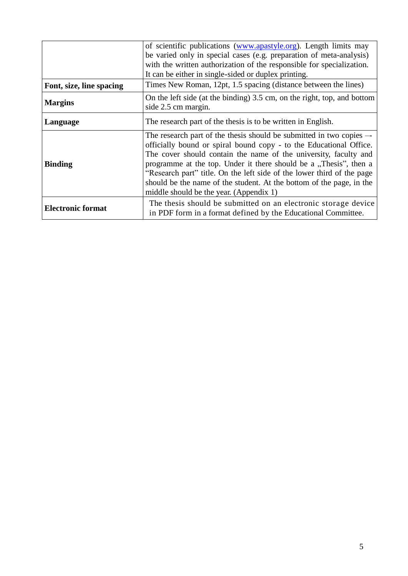|                          | of scientific publications (www.apastyle.org). Length limits may<br>be varied only in special cases (e.g. preparation of meta-analysis)                                                                                                                                                                                                                                                                                                                                          |
|--------------------------|----------------------------------------------------------------------------------------------------------------------------------------------------------------------------------------------------------------------------------------------------------------------------------------------------------------------------------------------------------------------------------------------------------------------------------------------------------------------------------|
|                          | with the written authorization of the responsible for specialization.                                                                                                                                                                                                                                                                                                                                                                                                            |
|                          | It can be either in single-sided or duplex printing.                                                                                                                                                                                                                                                                                                                                                                                                                             |
| Font, size, line spacing | Times New Roman, 12pt, 1.5 spacing (distance between the lines)                                                                                                                                                                                                                                                                                                                                                                                                                  |
| <b>Margins</b>           | On the left side (at the binding) 3.5 cm, on the right, top, and bottom<br>side 2.5 cm margin.                                                                                                                                                                                                                                                                                                                                                                                   |
| Language                 | The research part of the thesis is to be written in English.                                                                                                                                                                                                                                                                                                                                                                                                                     |
| <b>Binding</b>           | The research part of the thesis should be submitted in two copies --<br>officially bound or spiral bound copy - to the Educational Office.<br>The cover should contain the name of the university, faculty and<br>programme at the top. Under it there should be a "Thesis", then a<br>"Research part" title. On the left side of the lower third of the page<br>should be the name of the student. At the bottom of the page, in the<br>middle should be the year. (Appendix 1) |
| <b>Electronic format</b> | The thesis should be submitted on an electronic storage device<br>in PDF form in a format defined by the Educational Committee.                                                                                                                                                                                                                                                                                                                                                  |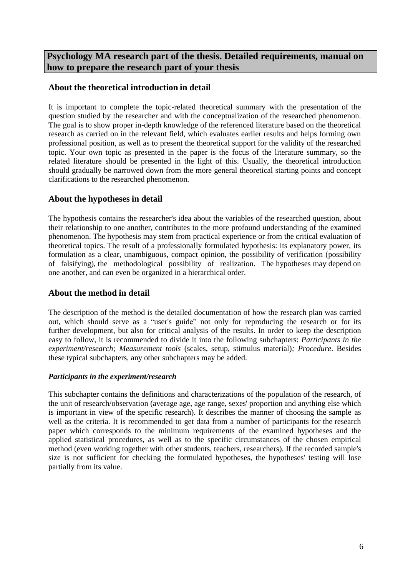**Psychology MA research part of the thesis. Detailed requirements, manual on how to prepare the research part of your thesis**

## **About the theoretical introduction in detail**

It is important to complete the topic-related theoretical summary with the presentation of the question studied by the researcher and with the conceptualization of the researched phenomenon. The goal is to show proper in-depth knowledge of the referenced literature based on the theoretical research as carried on in the relevant field, which evaluates earlier results and helps forming own professional position, as well as to present the theoretical support for the validity of the researched topic. Your own topic as presented in the paper is the focus of the literature summary, so the related literature should be presented in the light of this. Usually, the theoretical introduction should gradually be narrowed down from the more general theoretical starting points and concept clarifications to the researched phenomenon.

## **About the hypotheses in detail**

The hypothesis contains the researcher's idea about the variables of the researched question, about their relationship to one another, contributes to the more profound understanding of the examined phenomenon. The hypothesis may stem from practical experience or from the critical evaluation of theoretical topics. The result of a professionally formulated hypothesis: its explanatory power, its formulation as a clear, unambiguous, compact opinion, the possibility of verification (possibility of falsifying), the methodological possibility of realization. The hypotheses may depend on one another, and can even be organized in a hierarchical order.

## **About the method in detail**

The description of the method is the detailed documentation of how the research plan was carried out, which should serve as a "user's guide" not only for reproducing the research or for its further development, but also for critical analysis of the results. In order to keep the description easy to follow, it is recommended to divide it into the following subchapters: *Participants in the experiment/research; Measurement tools* (scales, setup, stimulus material)*; Procedure*. Besides these typical subchapters, any other subchapters may be added.

## *Participants in the experiment/research*

This subchapter contains the definitions and characterizations of the population of the research, of the unit of research/observation (average age, age range, sexes' proportion and anything else which is important in view of the specific research). It describes the manner of choosing the sample as well as the criteria. It is recommended to get data from a number of participants for the research paper which corresponds to the minimum requirements of the examined hypotheses and the applied statistical procedures, as well as to the specific circumstances of the chosen empirical method (even working together with other students, teachers, researchers). If the recorded sample's size is not sufficient for checking the formulated hypotheses, the hypotheses' testing will lose partially from its value.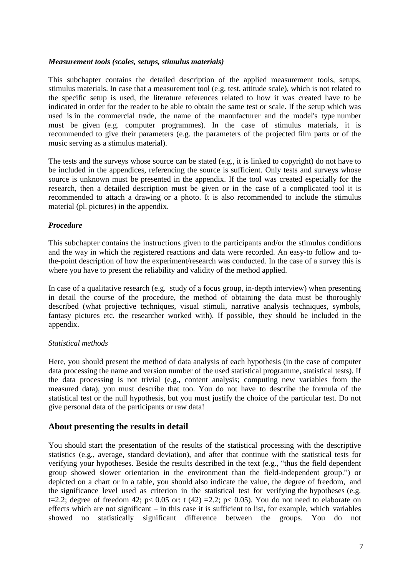#### *Measurement tools (scales, setups, stimulus materials)*

This subchapter contains the detailed description of the applied measurement tools, setups, stimulus materials. In case that a measurement tool (e.g. test, attitude scale), which is not related to the specific setup is used, the literature references related to how it was created have to be indicated in order for the reader to be able to obtain the same test or scale. If the setup which was used is in the commercial trade, the name of the manufacturer and the model's type number must be given (e.g. computer programmes). In the case of stimulus materials, it is recommended to give their parameters (e.g. the parameters of the projected film parts or of the music serving as a stimulus material).

The tests and the surveys whose source can be stated (e.g., it is linked to copyright) do not have to be included in the appendices, referencing the source is sufficient. Only tests and surveys whose source is unknown must be presented in the appendix. If the tool was created especially for the research, then a detailed description must be given or in the case of a complicated tool it is recommended to attach a drawing or a photo. It is also recommended to include the stimulus material (pl. pictures) in the appendix.

#### *Procedure*

This subchapter contains the instructions given to the participants and/or the stimulus conditions and the way in which the registered reactions and data were recorded. An easy-to follow and tothe-point description of how the experiment/research was conducted. In the case of a survey this is where you have to present the reliability and validity of the method applied.

In case of a qualitative research (e.g. study of a focus group, in-depth interview) when presenting in detail the course of the procedure, the method of obtaining the data must be thoroughly described (what projective techniques, visual stimuli, narrative analysis techniques, symbols, fantasy pictures etc. the researcher worked with). If possible, they should be included in the appendix.

### *Statistical methods*

Here, you should present the method of data analysis of each hypothesis (in the case of computer data processing the name and version number of the used statistical programme, statistical tests). If the data processing is not trivial (e.g., content analysis; computing new variables from the measured data), you must describe that too. You do not have to describe the formula of the statistical test or the null hypothesis, but you must justify the choice of the particular test. Do not give personal data of the participants or raw data!

## **About presenting the results in detail**

You should start the presentation of the results of the statistical processing with the descriptive statistics (e.g., average, standard deviation), and after that continue with the statistical tests for verifying your hypotheses. Beside the results described in the text (e.g., "thus the field dependent group showed slower orientation in the environment than the field-independent group.") or depicted on a chart or in a table, you should also indicate the value, the degree of freedom, and the significance level used as criterion in the statistical test for verifying the hypotheses (e.g. t=2.2; degree of freedom 42; p< 0.05 or: t (42) =2.2; p< 0.05). You do not need to elaborate on effects which are not significant – in this case it is sufficient to list, for example, which variables showed no statistically significant difference between the groups. You do not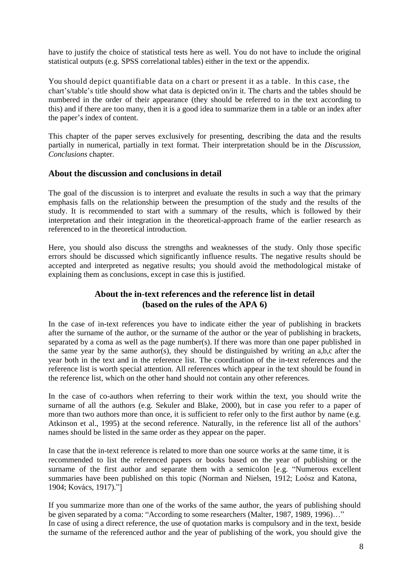have to justify the choice of statistical tests here as well. You do not have to include the original statistical outputs (e.g. SPSS correlational tables) either in the text or the appendix.

You should depict quantifiable data on a chart or present it as a table. In this case, the chart's/table's title should show what data is depicted on/in it. The charts and the tables should be numbered in the order of their appearance (they should be referred to in the text according to this) and if there are too many, then it is a good idea to summarize them in a table or an index after the paper's index of content.

This chapter of the paper serves exclusively for presenting, describing the data and the results partially in numerical, partially in text format. Their interpretation should be in the *Discussion, Conclusions* chapter.

## **About the discussion and conclusions in detail**

The goal of the discussion is to interpret and evaluate the results in such a way that the primary emphasis falls on the relationship between the presumption of the study and the results of the study. It is recommended to start with a summary of the results, which is followed by their interpretation and their integration in the theoretical-approach frame of the earlier research as referenced to in the theoretical introduction.

Here, you should also discuss the strengths and weaknesses of the study. Only those specific errors should be discussed which significantly influence results. The negative results should be accepted and interpreted as negative results; you should avoid the methodological mistake of explaining them as conclusions, except in case this is justified.

## **About the in-text references and the reference list in detail (based on the rules of the APA 6)**

In the case of in-text references you have to indicate either the year of publishing in brackets after the surname of the author, or the surname of the author or the year of publishing in brackets, separated by a coma as well as the page number(s). If there was more than one paper published in the same year by the same author(s), they should be distinguished by writing an a,b,c after the year both in the text and in the reference list. The coordination of the in-text references and the reference list is worth special attention. All references which appear in the text should be found in the reference list, which on the other hand should not contain any other references.

In the case of co-authors when referring to their work within the text, you should write the surname of all the authors (e.g. Sekuler and Blake, 2000), but in case you refer to a paper of more than two authors more than once, it is sufficient to refer only to the first author by name (e.g. Atkinson et al., 1995) at the second reference. Naturally, in the reference list all of the authors' names should be listed in the same order as they appear on the paper.

In case that the in-text reference is related to more than one source works at the same time, it is recommended to list the referenced papers or books based on the year of publishing or the surname of the first author and separate them with a semicolon [e.g. "Numerous excellent summaries have been published on this topic (Norman and Nielsen, 1912; Loósz and Katona, 1904; Kovács, 1917)."]

If you summarize more than one of the works of the same author, the years of publishing should be given separated by a coma: "According to some researchers (Malter, 1987, 1989, 1996)..." In case of using a direct reference, the use of quotation marks is compulsory and in the text, beside the surname of the referenced author and the year of publishing of the work, you should give the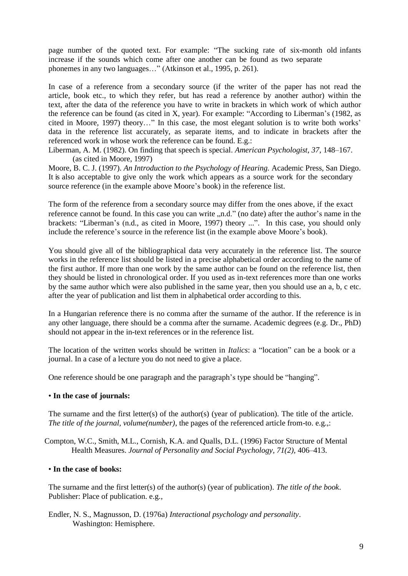page number of the quoted text. For example: "The sucking rate of six-month old infants increase if the sounds which come after one another can be found as two separate phonemes in any two languages…" (Atkinson et al., 1995, p. 261).

In case of a reference from a secondary source (if the writer of the paper has not read the article, book etc., to which they refer, but has read a reference by another author) within the text, after the data of the reference you have to write in brackets in which work of which author the reference can be found (as cited in X, year). For example: "According to Liberman's (1982, as cited in Moore, 1997) theory…" In this case, the most elegant solution is to write both works' data in the reference list accurately, as separate items, and to indicate in brackets after the referenced work in whose work the reference can be found. E.g.:

Liberman, A. M. (1982). On finding that speech is special. *American Psychologist, 37,* 148–167. (as cited in Moore, 1997)

Moore, B. C. J. (1997). *An Introduction to the Psychology of Hearing.* Academic Press, San Diego. It is also acceptable to give only the work which appears as a source work for the secondary source reference (in the example above Moore's book) in the reference list.

The form of the reference from a secondary source may differ from the ones above, if the exact reference cannot be found. In this case you can write "n.d." (no date) after the author's name in the brackets: "Liberman's (n.d., as cited in Moore, 1997) theory ...". In this case, you should only include the reference's source in the reference list (in the example above Moore's book).

You should give all of the bibliographical data very accurately in the reference list. The source works in the reference list should be listed in a precise alphabetical order according to the name of the first author. If more than one work by the same author can be found on the reference list, then they should be listed in chronological order. If you used as in-text references more than one works by the same author which were also published in the same year, then you should use an a, b, c etc. after the year of publication and list them in alphabetical order according to this.

In a Hungarian reference there is no comma after the surname of the author. If the reference is in any other language, there should be a comma after the surname. Academic degrees (e.g. Dr., PhD) should not appear in the in-text references or in the reference list.

The location of the written works should be written in *Italics*: a "location" can be a book or a journal. In a case of a lecture you do not need to give a place.

One reference should be one paragraph and the paragraph's type should be "hanging".

### • **In the case of journals:**

The surname and the first letter(s) of the author(s) (year of publication). The title of the article. *The title of the journal, volume(number)*, the pages of the referenced article from-to. e.g.,:

Compton, W.C., Smith, M.L., Cornish, K.A. and Qualls, D.L. (1996) Factor Structure of Mental Health Measures. *Journal of Personality and Social Psychology, 71(2),* 406–413.

#### • **In the case of books:**

The surname and the first letter(s) of the author(s) (year of publication). *The title of the book*. Publisher: Place of publication. e.g.,

Endler, N. S., Magnusson, D. (1976a) *Interactional psychology and personality*. Washington: Hemisphere.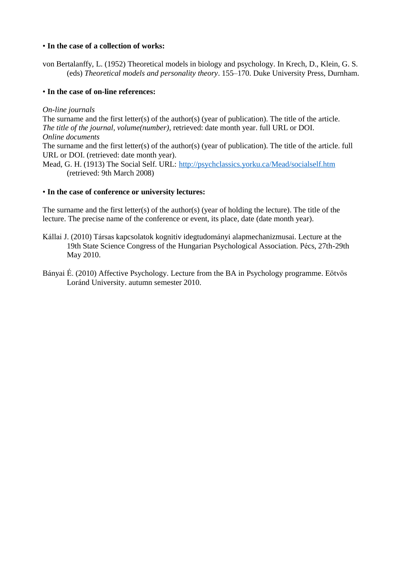### • **In the case of a collection of works:**

von Bertalanffy, L. (1952) Theoretical models in biology and psychology. In Krech, D., Klein, G. S. (eds) *Theoretical models and personality theory*. 155–170. Duke University Press, Durnham.

#### • **In the case of on-line references:**

#### *On-line journals*

The surname and the first letter(s) of the author(s) (year of publication). The title of the article. *The title of the journal, volume(number)*, retrieved: date month year. full URL or DOI. *Online documents*

The surname and the first letter(s) of the author(s) (year of publication). The title of the article. full URL or DOI. (retrieved: date month year).

Mead, G. H. (1913) The Social Self. URL:<http://psychclassics.yorku.ca/Mead/socialself.htm> (retrieved: 9th March 2008)

#### • **In the case of conference or university lectures:**

The surname and the first letter(s) of the author(s) (year of holding the lecture). The title of the lecture. The precise name of the conference or event, its place, date (date month year).

- Kállai J. (2010) Társas kapcsolatok kognitív idegtudományi alapmechanizmusai. Lecture at the 19th State Science Congress of the Hungarian Psychological Association. Pécs, 27th-29th May 2010.
- Bányai É. (2010) Affective Psychology. Lecture from the BA in Psychology programme. Eötvös Loránd University. autumn semester 2010.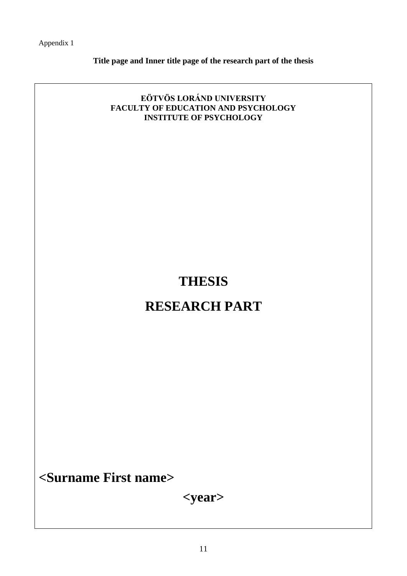Appendix 1

**Title page and Inner title page of the research part of the thesis**

## **EÖTVÖS LORÁND UNIVERSITY FACULTY OF EDUCATION AND PSYCHOLOGY INSTITUTE OF PSYCHOLOGY**

# **THESIS**

## **RESEARCH PART**

**<Surname First name>**

**<year>**